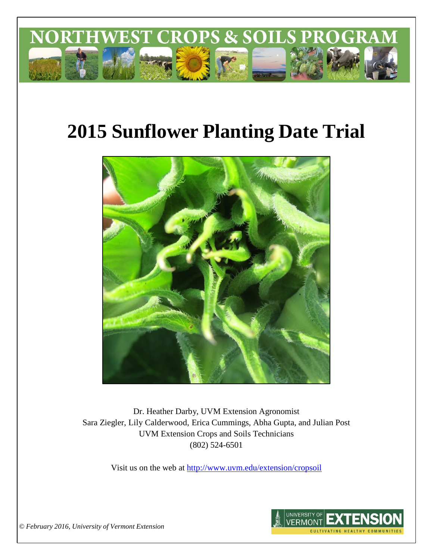

# **2015 Sunflower Planting Date Trial**



Dr. Heather Darby, UVM Extension Agronomist Sara Ziegler, Lily Calderwood, Erica Cummings, Abha Gupta, and Julian Post UVM Extension Crops and Soils Technicians (802) 524-6501

Visit us on the web at<http://www.uvm.edu/extension/cropsoil>



*© February 2016, University of Vermont Extension*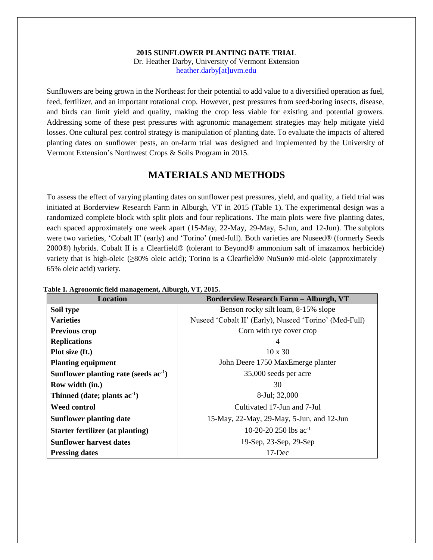#### **2015 SUNFLOWER PLANTING DATE TRIAL** Dr. Heather Darby, University of Vermont Extension [heather.darby\[at\]uvm.edu](mailto:heather.darby@uvm.edu)

Sunflowers are being grown in the Northeast for their potential to add value to a diversified operation as fuel, feed, fertilizer, and an important rotational crop. However, pest pressures from seed-boring insects, disease, and birds can limit yield and quality, making the crop less viable for existing and potential growers. Addressing some of these pest pressures with agronomic management strategies may help mitigate yield losses. One cultural pest control strategy is manipulation of planting date. To evaluate the impacts of altered planting dates on sunflower pests, an on-farm trial was designed and implemented by the University of Vermont Extension's Northwest Crops & Soils Program in 2015.

## **MATERIALS AND METHODS**

To assess the effect of varying planting dates on sunflower pest pressures, yield, and quality, a field trial was initiated at Borderview Research Farm in Alburgh, VT in 2015 (Table 1). The experimental design was a randomized complete block with split plots and four replications. The main plots were five planting dates, each spaced approximately one week apart (15-May, 22-May, 29-May, 5-Jun, and 12-Jun). The subplots were two varieties, 'Cobalt II' (early) and 'Torino' (med-full). Both varieties are Nuseed® (formerly Seeds 2000®) hybrids. Cobalt II is a Clearfield® (tolerant to Beyond® ammonium salt of imazamox herbicide) variety that is high-oleic (≥80% oleic acid); Torino is a Clearfield® NuSun® mid-oleic (approximately 65% oleic acid) variety.

| <b>Location</b>                         | <b>Borderview Research Farm - Alburgh, VT</b>          |
|-----------------------------------------|--------------------------------------------------------|
| Soil type                               | Benson rocky silt loam, 8-15% slope                    |
| <b>Varieties</b>                        | Nuseed 'Cobalt II' (Early), Nuseed 'Torino' (Med-Full) |
| <b>Previous crop</b>                    | Corn with rye cover crop                               |
| <b>Replications</b>                     |                                                        |
| Plot size (ft.)                         | $10 \times 30$                                         |
| <b>Planting equipment</b>               | John Deere 1750 MaxEmerge planter                      |
| Sunflower planting rate (seeds $ac-1$ ) | 35,000 seeds per acre                                  |
| Row width (in.)                         | 30                                                     |
| Thinned (date; plants $ac^{-1}$ )       | 8-Jul; 32,000                                          |
| <b>Weed control</b>                     | Cultivated 17-Jun and 7-Jul                            |
| <b>Sunflower planting date</b>          | 15-May, 22-May, 29-May, 5-Jun, and 12-Jun              |
| <b>Starter fertilizer (at planting)</b> | 10-20-20 250 lbs $ac^{-1}$                             |
| <b>Sunflower harvest dates</b>          | 19-Sep, 23-Sep, 29-Sep                                 |
| <b>Pressing dates</b>                   | $17$ -Dec                                              |

#### **Table 1. Agronomic field management, Alburgh, VT, 2015.**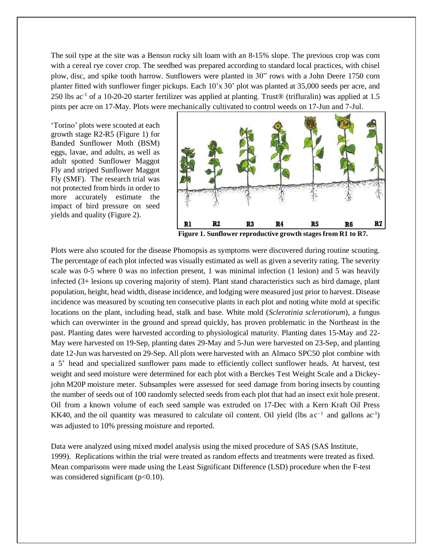The soil type at the site was a Benson rocky silt loam with an 8-15% slope. The previous crop was corn with a cereal rye cover crop. The seedbed was prepared according to standard local practices, with chisel plow, disc, and spike tooth harrow. Sunflowers were planted in 30" rows with a John Deere 1750 corn planter fitted with sunflower finger pickups. Each 10'x 30' plot was planted at 35,000 seeds per acre, and 250 lbs ac-1 of a 10-20-20 starter fertilizer was applied at planting. Trust® (trifluralin) was applied at 1.5 pints per acre on 17-May. Plots were mechanically cultivated to control weeds on 17-Jun and 7-Jul.

'Torino' plots were scouted at each growth stage R2-R5 (Figure 1) for Banded Sunflower Moth (BSM) eggs, lavae, and adults, as well as adult spotted Sunflower Maggot Fly and striped Sunflower Maggot Fly (SMF). The research trial was not protected from birds in order to more accurately estimate the impact of bird pressure on seed yields and quality (Figure 2).



**Figure 1. Sunflower reproductive growth stages from R1 to R7.**

Plots were also scouted for the disease Phomopsis as symptoms were discovered during routine scouting. The percentage of each plot infected was visually estimated as well as given a severity rating. The severity scale was 0-5 where 0 was no infection present, 1 was minimal infection (1 lesion) and 5 was heavily infected (3+ lesions up covering majority of stem). Plant stand characteristics such as bird damage, plant population, height, head width, disease incidence, and lodging were measured just prior to harvest. Disease incidence was measured by scouting ten consecutive plants in each plot and noting white mold at specific locations on the plant, including head, stalk and base. White mold (*Sclerotinia sclerotiorum*), a fungus which can overwinter in the ground and spread quickly, has proven problematic in the Northeast in the past. Planting dates were harvested according to physiological maturity. Planting dates 15-May and 22- May were harvested on 19-Sep, planting dates 29-May and 5-Jun were harvested on 23-Sep, and planting date 12-Jun was harvested on 29-Sep. All plots were harvested with an Almaco SPC50 plot combine with a 5' head and specialized sunflower pans made to efficiently collect sunflower heads. At harvest, test weight and seed moisture were determined for each plot with a Berckes Test Weight Scale and a Dickeyjohn M20P moisture meter. Subsamples were assessed for seed damage from boring insects by counting the number of seeds out of 100 randomly selected seeds from each plot that had an insect exit hole present. Oil from a known volume of each seed sample was extruded on 17-Dec with a Kern Kraft Oil Press KK40, and the oil quantity was measured to calculate oil content. Oil yield (lbs  $ac^{-1}$  and gallons  $ac^{-1}$ ) was adjusted to 10% pressing moisture and reported.

Data were analyzed using mixed model analysis using the mixed procedure of SAS (SAS Institute, 1999). Replications within the trial were treated as random effects and treatments were treated as fixed. Mean comparisons were made using the Least Significant Difference (LSD) procedure when the F-test was considered significant  $(p<0.10)$ .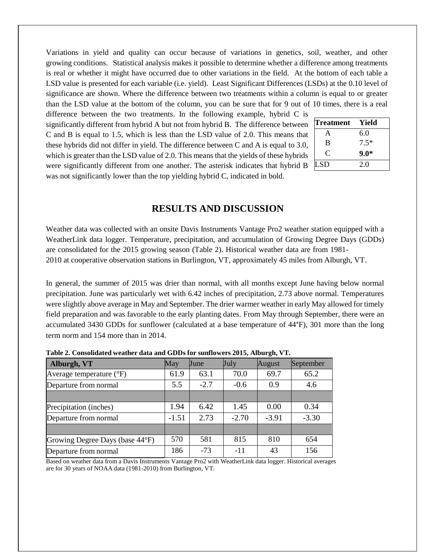Variations in yield and quality can occur because of variations in genetics, soil, weather, and other growing conditions. Statistical analysis makes it possible to determine whether a difference among treatments is real or whether it might have occurred due to other variations in the field. At the bottom of each table a LSD value is presented for each variable (i.e. yield). Least Significant Differences (LSDs) at the 0.10 level of significance are shown. Where the difference between two treatments within a column is equal to or greater than the LSD value at the bottom of the column, you can be sure that for 9 out of 10 times, there is a real difference between the two treatments. In the following example, hybrid C is

significantly different from hybrid A but not from hybrid B. The difference between C and B is equal to 1.5, which is less than the LSD value of 2.0. This means that these hybrids did not differ in yield. The difference between C and A is equal to 3.0, which is greater than the LSD value of 2.0. This means that the yields of these hybrids were significantly different from one another. The asterisk indicates that hybrid B was not significantly lower than the top yielding hybrid C, indicated in bold.

| <b>Treatment</b> | Yield  |
|------------------|--------|
| A                | 6.0    |
| B                | $7.5*$ |
| $\mathbf C$      | $9.0*$ |
| LSD              | 2.0    |

### **RESULTS AND DISCUSSION**

Weather data was collected with an onsite Davis Instruments Vantage Pro2 weather station equipped with a WeatherLink data logger. Temperature, precipitation, and accumulation of Growing Degree Days (GDDs) are consolidated for the 2015 growing season (Table 2). Historical weather data are from 1981- 2010 at cooperative observation stations in Burlington, VT, approximately 45 miles from Alburgh, VT.

In general, the summer of 2015 was drier than normal, with all months except June having below normal precipitation. June was particularly wet with 6.42 inches of precipitation, 2.73 above normal. Temperatures were slightly above average in May and September. The drier warmer weather in early May allowed for timely field preparation and was favorable to the early planting dates. From May through September, there were an accumulated 3430 GDDs for sunflower (calculated at a base temperature of 44°F), 301 more than the long term norm and 154 more than in 2014.

| Alburgh, VT                       | May     | <b>June</b> | <b>July</b> | August  | September |
|-----------------------------------|---------|-------------|-------------|---------|-----------|
| Average temperature $(^{\circ}F)$ | 61.9    | 63.1        | 70.0        | 69.7    | 65.2      |
| Departure from normal             | 5.5     | $-2.7$      | $-0.6$      | 0.9     | 4.6       |
|                                   |         |             |             |         |           |
| Precipitation (inches)            | 1.94    | 6.42        | 1.45        | 0.00    | 0.34      |
| Departure from normal             | $-1.51$ | 2.73        | $-2.70$     | $-3.91$ | $-3.30$   |
|                                   |         |             |             |         |           |
| Growing Degree Days (base 44°F)   | 570     | 581         | 815         | 810     | 654       |
| Departure from normal             | 186     | $-73$       | $-11$       | 43      | 156       |

**Table 2. Consolidated weather data and GDDs for sunflowers 2015, Alburgh, VT.**

Based on weather data from a Davis Instruments Vantage Pro2 with WeatherLink data logger. Historical averages are for 30 years of NOAA data (1981-2010) from Burlington, VT.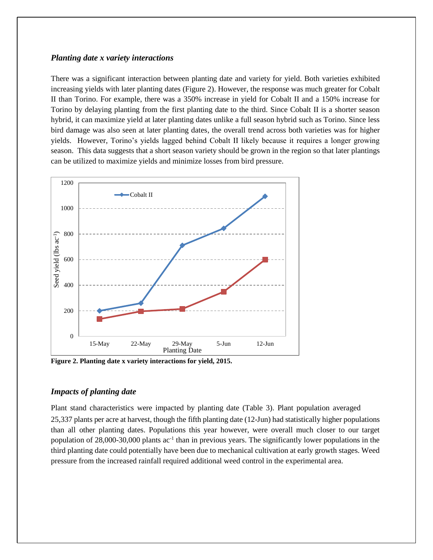#### *Planting date x variety interactions*

There was a significant interaction between planting date and variety for yield. Both varieties exhibited increasing yields with later planting dates (Figure 2). However, the response was much greater for Cobalt II than Torino. For example, there was a 350% increase in yield for Cobalt II and a 150% increase for Torino by delaying planting from the first planting date to the third. Since Cobalt II is a shorter season hybrid, it can maximize yield at later planting dates unlike a full season hybrid such as Torino. Since less bird damage was also seen at later planting dates, the overall trend across both varieties was for higher yields. However, Torino's yields lagged behind Cobalt II likely because it requires a longer growing season. This data suggests that a short season variety should be grown in the region so that later plantings can be utilized to maximize yields and minimize losses from bird pressure.



**Figure 2. Planting date x variety interactions for yield, 2015.**

#### *Impacts of planting date*

Plant stand characteristics were impacted by planting date (Table 3). Plant population averaged 25,337 plants per acre at harvest, though the fifth planting date (12-Jun) had statistically higher populations than all other planting dates. Populations this year however, were overall much closer to our target population of 28,000-30,000 plants ac<sup>-1</sup> than in previous years. The significantly lower populations in the third planting date could potentially have been due to mechanical cultivation at early growth stages. Weed pressure from the increased rainfall required additional weed control in the experimental area.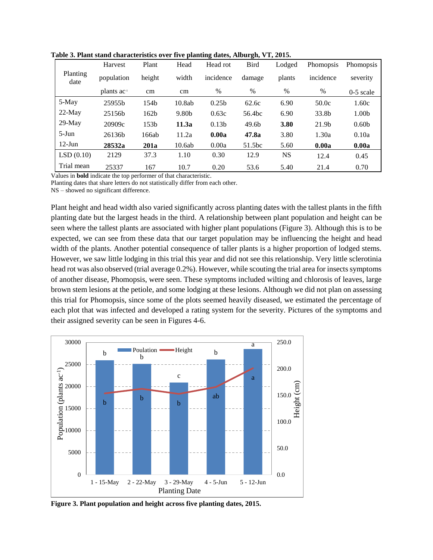|                  | Harvest            | Plant            | Head     | Head rot          | <b>Bird</b>        | Lodged    | Phomopsis | Phomopsis         |
|------------------|--------------------|------------------|----------|-------------------|--------------------|-----------|-----------|-------------------|
| Planting<br>date | population         | height           | width    | incidence         | damage             | plants    | incidence | severity          |
|                  | plants ac-         | cm               | $\rm cm$ | $\%$              | $\%$               | $\%$      | %         | $0-5$ scale       |
| 5-May            | 25955b             | 154b             | 10.8ab   | 0.25 <sub>b</sub> | 62.6c              | 6.90      | 50.0c     | 1.60c             |
| $22$ -May        | 25156 <sub>b</sub> | 162 <sub>b</sub> | 9.80b    | 0.63c             | 56.4 <sub>bc</sub> | 6.90      | 33.8b     | 1.00 <sub>b</sub> |
| $29$ -May        | 20909c             | 153 <sub>b</sub> | 11.3a    | 0.13 <sub>b</sub> | 49.6 <sub>b</sub>  | 3.80      | 21.9b     | 0.60 <sub>b</sub> |
| $5-J$ un         | 26136 <sub>b</sub> | 166ab            | 11.2a    | 0.00a             | 47.8a              | 3.80      | 1.30a     | 0.10a             |
| $12$ -Jun        | 28532a             | 201a             | 10.6ab   | 0.00a             | 51.5bc             | 5.60      | 0.00a     | 0.00a             |
| LSD(0.10)        | 2129               | 37.3             | 1.10     | 0.30              | 12.9               | <b>NS</b> | 12.4      | 0.45              |
| Trial mean       | 25337              | 167              | 10.7     | 0.20              | 53.6               | 5.40      | 21.4      | 0.70              |

**Table 3. Plant stand characteristics over five planting dates, Alburgh, VT, 2015.**

Values in **bold** indicate the top performer of that characteristic.

Planting dates that share letters do not statistically differ from each other.

NS – showed no significant difference.

Plant height and head width also varied significantly across planting dates with the tallest plants in the fifth planting date but the largest heads in the third. A relationship between plant population and height can be seen where the tallest plants are associated with higher plant populations (Figure 3). Although this is to be expected, we can see from these data that our target population may be influencing the height and head width of the plants. Another potential consequence of taller plants is a higher proportion of lodged stems. However, we saw little lodging in this trial this year and did not see this relationship. Very little sclerotinia head rot was also observed (trial average 0.2%). However, while scouting the trial area for insects symptoms of another disease, Phomopsis, were seen. These symptoms included wilting and chlorosis of leaves, large brown stem lesions at the petiole, and some lodging at these lesions. Although we did not plan on assessing this trial for Phomopsis, since some of the plots seemed heavily diseased, we estimated the percentage of each plot that was infected and developed a rating system for the severity. Pictures of the symptoms and their assigned severity can be seen in Figures 4-6.



**Figure 3. Plant population and height across five planting dates, 2015.**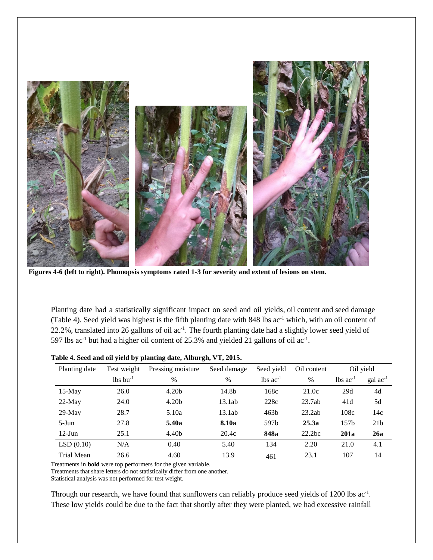

**Figures 4-6 (left to right). Phomopsis symptoms rated 1-3 for severity and extent of lesions on stem.**

Planting date had a statistically significant impact on seed and oil yields, oil content and seed damage (Table 4). Seed yield was highest is the fifth planting date with 848 lbs ac-1 which, with an oil content of 22.2%, translated into 26 gallons of oil ac<sup>-1</sup>. The fourth planting date had a slightly lower seed yield of 597 lbs  $ac^{-1}$  but had a higher oil content of 25.3% and yielded 21 gallons of oil  $ac^{-1}$ .

| Planting date   | Test weight            | Pressing moisture | Seed damage | Seed yield             | Oil content |                        | Oil yield                  |
|-----------------|------------------------|-------------------|-------------|------------------------|-------------|------------------------|----------------------------|
|                 | $lbs$ bu <sup>-1</sup> | $\%$              | $\%$        | $lbs$ ac <sup>-1</sup> | $\%$        | $lbs$ ac <sup>-1</sup> | $\rm gal$ ac <sup>-1</sup> |
| $15$ -May       | 26.0                   | 4.20 <sub>b</sub> | 14.8b       | 168c                   | 21.0c       | 29d                    | 4d                         |
| $22$ -May       | 24.0                   | 4.20 <sub>b</sub> | 13.1ab      | 228c                   | 23.7ab      | 41d                    | 5d                         |
| $29$ -May       | 28.7                   | 5.10a             | 13.1ab      | 463 <sub>b</sub>       | 23.2ab      | 108c                   | 14c                        |
| $5-Jun$         | 27.8                   | 5.40a             | 8.10a       | 597b                   | 25.3a       | 157 <sub>b</sub>       | 21 <sub>b</sub>            |
| $12$ -Jun       | 25.1                   | 4.40b             | 20.4c       | 848a                   | 22.2bc      | 201a                   | 26a                        |
| LSD(0.10)       | N/A                    | 0.40              | 5.40        | 134                    | 2.20        | 21.0                   | 4.1                        |
| Trial Mean<br>. | 26.6                   | 4.60<br>.         | 13.9        | 461                    | 23.1        | 107                    | 14                         |

| Table 4. Seed and oil yield by planting date, Alburgh, VT, 2015. |  |  |  |  |
|------------------------------------------------------------------|--|--|--|--|
|------------------------------------------------------------------|--|--|--|--|

Treatments in **bold** were top performers for the given variable.

Treatments that share letters do not statistically differ from one another.

Statistical analysis was not performed for test weight.

Through our research, we have found that sunflowers can reliably produce seed yields of 1200 lbs ac<sup>-1</sup>. These low yields could be due to the fact that shortly after they were planted, we had excessive rainfall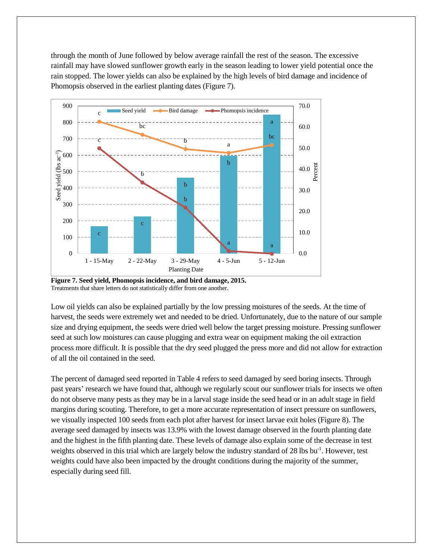through the month of June followed by below average rainfall the rest of the season. The excessive rainfall may have slowed sunflower growth early in the season leading to lower yield potential once the rain stopped. The lower yields can also be explained by the high levels of bird damage and incidence of Phomopsis observed in the earliest planting dates (Figure 7).



**Figure 7. Seed yield, Phomopsis incidence, and bird damage, 2015.** Treatments that share letters do not statistically differ from one another.

Low oil yields can also be explained partially by the low pressing moistures of the seeds. At the time of harvest, the seeds were extremely wet and needed to be dried. Unfortunately, due to the nature of our sample size and drying equipment, the seeds were dried well below the target pressing moisture. Pressing sunflower seed at such low moistures can cause plugging and extra wear on equipment making the oil extraction process more difficult. It is possible that the dry seed plugged the press more and did not allow for extraction of all the oil contained in the seed.

The percent of damaged seed reported in Table 4 refers to seed damaged by seed boring insects. Through past years' research we have found that, although we regularly scout our sunflower trials for insects we often do not observe many pests as they may be in a larval stage inside the seed head or in an adult stage in field margins during scouting. Therefore, to get a more accurate representation of insect pressure on sunflowers, we visually inspected 100 seeds from each plot after harvest for insect larvae exit holes (Figure 8). The average seed damaged by insects was 13.9% with the lowest damage observed in the fourth planting date and the highest in the fifth planting date. These levels of damage also explain some of the decrease in test weights observed in this trial which are largely below the industry standard of 28 lbs bu<sup>-1</sup>. However, test weights could have also been impacted by the drought conditions during the majority of the summer, especially during seed fill.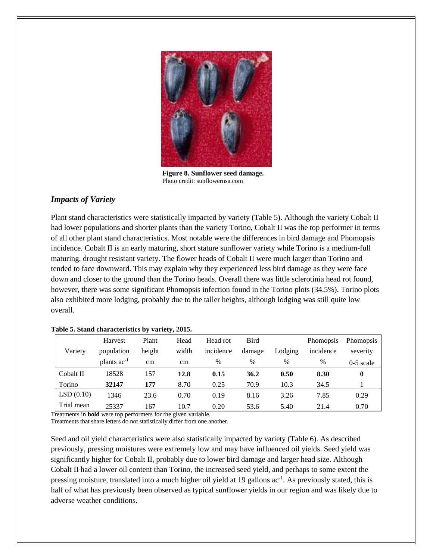

**Figure 8. Sunflower seed damage.** Photo credit: sunflowernsa.com

#### *Impacts of Variety*

Plant stand characteristics were statistically impacted by variety (Table 5). Although the variety Cobalt II had lower populations and shorter plants than the variety Torino, Cobalt II was the top performer in terms of all other plant stand characteristics. Most notable were the differences in bird damage and Phomopsis incidence. Cobalt II is an early maturing, short stature sunflower variety while Torino is a medium-full maturing, drought resistant variety. The flower heads of Cobalt II were much larger than Torino and tended to face downward. This may explain why they experienced less bird damage as they were face down and closer to the ground than the Torino heads. Overall there was little sclerotinia head rot found, however, there was some significant Phomopsis infection found in the Torino plots (34.5%). Torino plots also exhibited more lodging, probably due to the taller heights, although lodging was still quite low overall.

|            | $\frac{1}{2}$ and $\frac{1}{2}$ . Dealing characterization by $\frac{1}{2}$ , arrived $\frac{1}{2}$ |        |       |           |        |         |                  |                  |
|------------|-----------------------------------------------------------------------------------------------------|--------|-------|-----------|--------|---------|------------------|------------------|
|            | Harvest                                                                                             | Plant  | Head  | Head rot  | Bird   |         | <b>Phomopsis</b> | <b>Phomopsis</b> |
| Variety    | population                                                                                          | height | width | incidence | damage | Lodging | incidence        | severity         |
|            | plants ac <sup>-1</sup>                                                                             | cm     | cm    | $\%$      | $\%$   | $\%$    | $\%$             | $0-5$ scale      |
| Cobalt II  | 18528                                                                                               | 157    | 12.8  | 0.15      | 36.2   | 0.50    | 8.30             | 0                |
| Torino     | 32147                                                                                               | 177    | 8.70  | 0.25      | 70.9   | 10.3    | 34.5             |                  |
| LSD(0.10)  | 1346                                                                                                | 23.6   | 0.70  | 0.19      | 8.16   | 3.26    | 7.85             | 0.29             |
| Trial mean | 25337                                                                                               | 167    | 10.7  | 0.20      | 53.6   | 5.40    | 21.4             | 0.70             |

#### **Table 5. Stand characteristics by variety, 2015.**

Treatments in **bold** were top performers for the given variable.

Treatments that share letters do not statistically differ from one another.

Seed and oil yield characteristics were also statistically impacted by variety (Table 6). As described previously, pressing moistures were extremely low and may have influenced oil yields. Seed yield was significantly higher for Cobalt II, probably due to lower bird damage and larger head size. Although Cobalt II had a lower oil content than Torino, the increased seed yield, and perhaps to some extent the pressing moisture, translated into a much higher oil yield at 19 gallons ac<sup>-1</sup>. As previously stated, this is half of what has previously been observed as typical sunflower yields in our region and was likely due to adverse weather conditions.